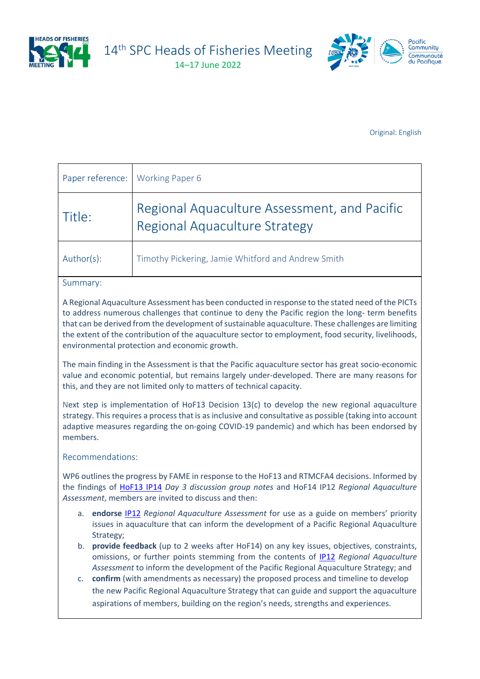

14<sup>th</sup> SPC Heads of Fisheries Meeting

14–17 June 2022



Original: English

| Paper reference: Working Paper 6 |                                                                               |
|----------------------------------|-------------------------------------------------------------------------------|
| Title:                           | Regional Aquaculture Assessment, and Pacific<br>Regional Aquaculture Strategy |
| Author(s):                       | Timothy Pickering, Jamie Whitford and Andrew Smith                            |

## Summary:

A Regional Aquaculture Assessment has been conducted in response to the stated need of the PICTs to address numerous challenges that continue to deny the Pacific region the long- term benefits that can be derived from the development of sustainable aquaculture. These challenges are limiting the extent of the contribution of the aquaculture sector to employment, food security, livelihoods, environmental protection and economic growth.

The main finding in the Assessment is that the Pacific aquaculture sector has great socio-economic value and economic potential, but remains largely under-developed. There are many reasons for this, and they are not limited only to matters of technical capacity.

Next step is implementation of HoF13 Decision 13(c) to develop the new regional aquaculture strategy. This requires a process that is as inclusive and consultative as possible (taking into account adaptive measures regarding the on-going COVID-19 pandemic) and which has been endorsed by members.

## Recommendations:

WP6 outlines the progress by FAME in response to the HoF13 and RTMCFA4 decisions. Informed by the findings of [HoF13 IP14](https://www.spc.int/DigitalLibrary/Doc/FAME/Meetings/HOF/13/HoF13_IP14.pdf) *Day 3 discussion group notes* and HoF14 IP12 *Regional Aquaculture Assessment*, members are invited to discuss and then:

- a. **endorse** [IP12](https://www.spc.int/DigitalLibrary/Doc/FAME/Meetings/HOF/14/HoF14_IP12.pdf) *Regional Aquaculture Assessment* for use as a guide on members' priority issues in aquaculture that can inform the development of a Pacific Regional Aquaculture Strategy;
- b. **provide feedback** (up to 2 weeks after HoF14) on any key issues, objectives, constraints, omissions, or further points stemming from the contents of [IP12](https://www.spc.int/DigitalLibrary/Doc/FAME/Meetings/HOF/14/HoF14_IP12.pdf) *Regional Aquaculture Assessment* to inform the development of the Pacific Regional Aquaculture Strategy; and
- c. **confirm** (with amendments as necessary) the proposed process and timeline to develop the new Pacific Regional Aquaculture Strategy that can guide and support the aquaculture aspirations of members, building on the region's needs, strengths and experiences.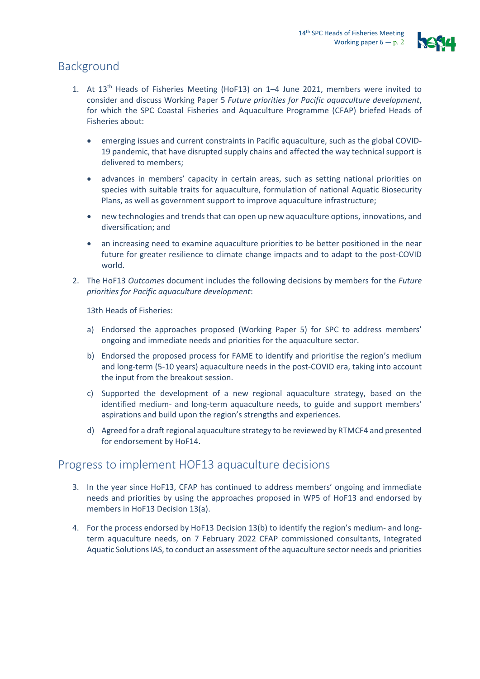

# Background

- 1. At  $13<sup>th</sup>$  Heads of Fisheries Meeting (HoF13) on 1–4 June 2021, members were invited to consider and discuss Working Paper 5 *Future priorities for Pacific aquaculture development*, for which the SPC Coastal Fisheries and Aquaculture Programme (CFAP) briefed Heads of Fisheries about:
	- emerging issues and current constraints in Pacific aquaculture, such as the global COVID-19 pandemic, that have disrupted supply chains and affected the way technical support is delivered to members;
	- advances in members' capacity in certain areas, such as setting national priorities on species with suitable traits for aquaculture, formulation of national Aquatic Biosecurity Plans, as well as government support to improve aquaculture infrastructure;
	- new technologies and trends that can open up new aquaculture options, innovations, and diversification; and
	- an increasing need to examine aquaculture priorities to be better positioned in the near future for greater resilience to climate change impacts and to adapt to the post-COVID world.
- 2. The HoF13 *Outcomes* document includes the following decisions by members for the *Future priorities for Pacific aquaculture development*:

13th Heads of Fisheries:

- a) Endorsed the approaches proposed (Working Paper 5) for SPC to address members' ongoing and immediate needs and priorities for the aquaculture sector.
- b) Endorsed the proposed process for FAME to identify and prioritise the region's medium and long-term (5-10 years) aquaculture needs in the post-COVID era, taking into account the input from the breakout session.
- c) Supported the development of a new regional aquaculture strategy, based on the identified medium- and long-term aquaculture needs, to guide and support members' aspirations and build upon the region's strengths and experiences.
- d) Agreed for a draft regional aquaculture strategy to be reviewed by RTMCF4 and presented for endorsement by HoF14.

# Progress to implement HOF13 aquaculture decisions

- 3. In the year since HoF13, CFAP has continued to address members' ongoing and immediate needs and priorities by using the approaches proposed in WP5 of HoF13 and endorsed by members in HoF13 Decision 13(a).
- 4. For the process endorsed by HoF13 Decision 13(b) to identify the region's medium- and longterm aquaculture needs, on 7 February 2022 CFAP commissioned consultants, Integrated Aquatic Solutions IAS, to conduct an assessment of the aquaculture sector needs and priorities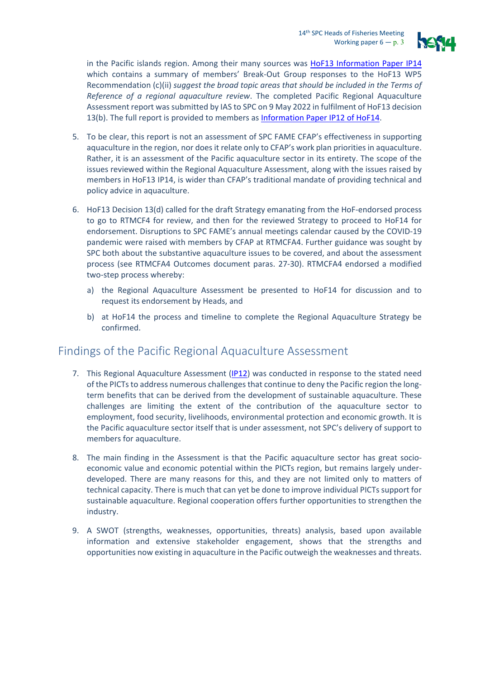

in the Pacific islands region. Among their many sources was [HoF13 Information Paper IP14](https://www.spc.int/DigitalLibrary/Doc/FAME/Meetings/HOF/13/HoF13_IP14.pdf) which contains a summary of members' Break-Out Group responses to the HoF13 WP5 Recommendation (c)(ii) *suggest the broad topic areas that should be included in the Terms of Reference of a regional aquaculture review*. The completed Pacific Regional Aquaculture Assessment report was submitted by IAS to SPC on 9 May 2022 in fulfilment of HoF13 decision 13(b). The full report is provided to members as [Information Paper](https://www.spc.int/DigitalLibrary/Doc/FAME/Meetings/HOF/14/HoF14_IP12.pdf) IP12 of HoF14.

- 5. To be clear, this report is not an assessment of SPC FAME CFAP's effectiveness in supporting aquaculture in the region, nor does it relate only to CFAP's work plan priorities in aquaculture. Rather, it is an assessment of the Pacific aquaculture sector in its entirety. The scope of the issues reviewed within the Regional Aquaculture Assessment, along with the issues raised by members in HoF13 IP14, is wider than CFAP's traditional mandate of providing technical and policy advice in aquaculture.
- 6. HoF13 Decision 13(d) called for the draft Strategy emanating from the HoF-endorsed process to go to RTMCF4 for review, and then for the reviewed Strategy to proceed to HoF14 for endorsement. Disruptions to SPC FAME's annual meetings calendar caused by the COVID-19 pandemic were raised with members by CFAP at RTMCFA4. Further guidance was sought by SPC both about the substantive aquaculture issues to be covered, and about the assessment process (see RTMCFA4 [Outcomes](https://spccfpstore1.blob.core.windows.net/digitallibrary-docs/files/9c/9c3783dd59e3679c7d2ba31b02566f5b.pdf?sv=2015-12-11&sr=b&sig=eZHlkXxoQhVctiPGn6fr6SZU46VBGxMfRfv1W5%2BXS7c%3D&se=2022-11-08T03%3A42%3A34Z&sp=r&rscc=public%2C%20max-age%3D864000%2C%20max-stale%3D86400&rsct=application%2Fpdf&rscd=inline%3B%20filename%3D%22RTMCFA4_Outcomes_Actions_Report_EN.pdf%22) document paras. 27-30). RTMCFA4 endorsed a modified two-step process whereby:
	- a) the Regional Aquaculture Assessment be presented to HoF14 for discussion and to request its endorsement by Heads, and
	- b) at HoF14 the process and timeline to complete the Regional Aquaculture Strategy be confirmed.

# Findings of the Pacific Regional Aquaculture Assessment

- 7. This Regional Aquaculture Assessment [\(IP12\)](https://www.spc.int/DigitalLibrary/Doc/FAME/Meetings/HOF/14/HoF14_IP12.pdf) was conducted in response to the stated need of the PICTs to address numerous challenges that continue to deny the Pacific region the longterm benefits that can be derived from the development of sustainable aquaculture. These challenges are limiting the extent of the contribution of the aquaculture sector to employment, food security, livelihoods, environmental protection and economic growth. It is the Pacific aquaculture sector itself that is under assessment, not SPC's delivery of support to members for aquaculture.
- 8. The main finding in the Assessment is that the Pacific aquaculture sector has great socioeconomic value and economic potential within the PICTs region, but remains largely underdeveloped. There are many reasons for this, and they are not limited only to matters of technical capacity. There is much that can yet be done to improve individual PICTs support for sustainable aquaculture. Regional cooperation offers further opportunities to strengthen the industry.
- 9. A SWOT (strengths, weaknesses, opportunities, threats) analysis, based upon available information and extensive stakeholder engagement, shows that the strengths and opportunities now existing in aquaculture in the Pacific outweigh the weaknesses and threats.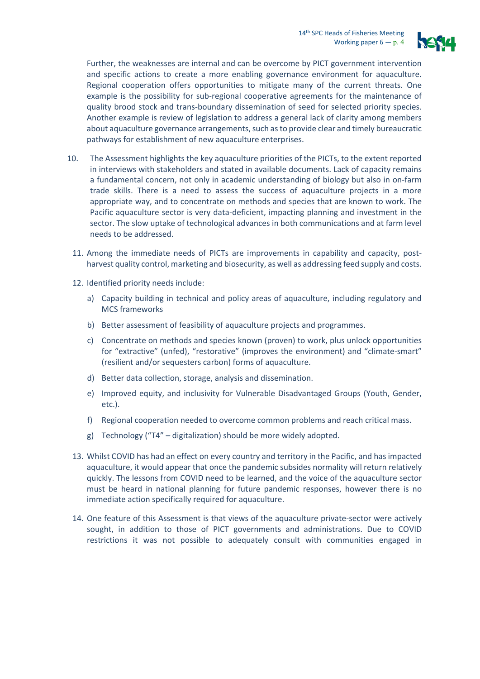

Further, the weaknesses are internal and can be overcome by PICT government intervention and specific actions to create a more enabling governance environment for aquaculture. Regional cooperation offers opportunities to mitigate many of the current threats. One example is the possibility for sub-regional cooperative agreements for the maintenance of quality brood stock and trans-boundary dissemination of seed for selected priority species. Another example is review of legislation to address a general lack of clarity among members about aquaculture governance arrangements, such as to provide clear and timely bureaucratic pathways for establishment of new aquaculture enterprises.

- 10. The Assessment highlights the key aquaculture priorities of the PICTs, to the extent reported in interviews with stakeholders and stated in available documents. Lack of capacity remains a fundamental concern, not only in academic understanding of biology but also in on-farm trade skills. There is a need to assess the success of aquaculture projects in a more appropriate way, and to concentrate on methods and species that are known to work. The Pacific aquaculture sector is very data-deficient, impacting planning and investment in the sector. The slow uptake of technological advances in both communications and at farm level needs to be addressed.
	- 11. Among the immediate needs of PICTs are improvements in capability and capacity, postharvest quality control, marketing and biosecurity, as well as addressing feed supply and costs.
	- 12. Identified priority needs include:
		- a) Capacity building in technical and policy areas of aquaculture, including regulatory and MCS frameworks
		- b) Better assessment of feasibility of aquaculture projects and programmes.
		- c) Concentrate on methods and species known (proven) to work, plus unlock opportunities for "extractive" (unfed), "restorative" (improves the environment) and "climate-smart" (resilient and/or sequesters carbon) forms of aquaculture.
		- d) Better data collection, storage, analysis and dissemination.
		- e) Improved equity, and inclusivity for Vulnerable Disadvantaged Groups (Youth, Gender, etc.).
		- Regional cooperation needed to overcome common problems and reach critical mass.
		- g) Technology ("T4" digitalization) should be more widely adopted.
- 13. Whilst COVID has had an effect on every country and territory in the Pacific, and has impacted aquaculture, it would appear that once the pandemic subsides normality will return relatively quickly. The lessons from COVID need to be learned, and the voice of the aquaculture sector must be heard in national planning for future pandemic responses, however there is no immediate action specifically required for aquaculture.
- 14. One feature of this Assessment is that views of the aquaculture private-sector were actively sought, in addition to those of PICT governments and administrations. Due to COVID restrictions it was not possible to adequately consult with communities engaged in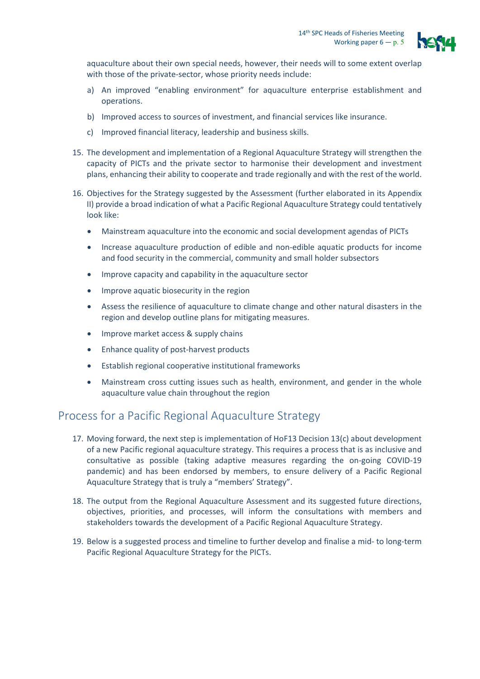

aquaculture about their own special needs, however, their needs will to some extent overlap with those of the private-sector, whose priority needs include:

- a) An improved "enabling environment" for aquaculture enterprise establishment and operations.
- b) Improved access to sources of investment, and financial services like insurance.
- c) Improved financial literacy, leadership and business skills.
- 15. The development and implementation of a Regional Aquaculture Strategy will strengthen the capacity of PICTs and the private sector to harmonise their development and investment plans, enhancing their ability to cooperate and trade regionally and with the rest of the world.
- 16. Objectives for the Strategy suggested by the Assessment (further elaborated in its Appendix II) provide a broad indication of what a Pacific Regional Aquaculture Strategy could tentatively look like:
	- Mainstream aquaculture into the economic and social development agendas of PICTs
	- Increase aquaculture production of edible and non-edible aquatic products for income and food security in the commercial, community and small holder subsectors
	- Improve capacity and capability in the aquaculture sector
	- Improve aquatic biosecurity in the region
	- Assess the resilience of aquaculture to climate change and other natural disasters in the region and develop outline plans for mitigating measures.
	- Improve market access & supply chains
	- Enhance quality of post-harvest products
	- Establish regional cooperative institutional frameworks
	- Mainstream cross cutting issues such as health, environment, and gender in the whole aquaculture value chain throughout the region

# Process for a Pacific Regional Aquaculture Strategy

- 17. Moving forward, the next step is implementation of HoF13 Decision 13(c) about development of a new Pacific regional aquaculture strategy. This requires a process that is as inclusive and consultative as possible (taking adaptive measures regarding the on-going COVID-19 pandemic) and has been endorsed by members, to ensure delivery of a Pacific Regional Aquaculture Strategy that is truly a "members' Strategy".
- 18. The output from the Regional Aquaculture Assessment and its suggested future directions, objectives, priorities, and processes, will inform the consultations with members and stakeholders towards the development of a Pacific Regional Aquaculture Strategy.
- 19. Below is a suggested process and timeline to further develop and finalise a mid- to long-term Pacific Regional Aquaculture Strategy for the PICTs.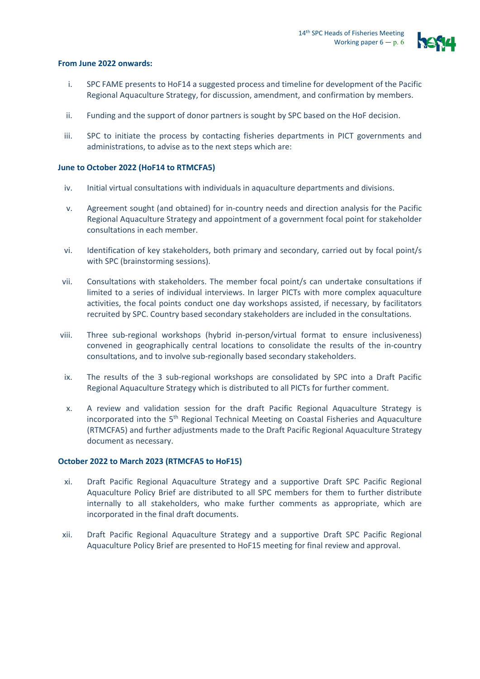

#### **From June 2022 onwards:**

- i. SPC FAME presents to HoF14 a suggested process and timeline for development of the Pacific Regional Aquaculture Strategy, for discussion, amendment, and confirmation by members.
- ii. Funding and the support of donor partners is sought by SPC based on the HoF decision.
- iii. SPC to initiate the process by contacting fisheries departments in PICT governments and administrations, to advise as to the next steps which are:

### **June to October 2022 (HoF14 to RTMCFA5)**

- iv. Initial virtual consultations with individuals in aquaculture departments and divisions.
- v. Agreement sought (and obtained) for in-country needs and direction analysis for the Pacific Regional Aquaculture Strategy and appointment of a government focal point for stakeholder consultations in each member.
- vi. Identification of key stakeholders, both primary and secondary, carried out by focal point/s with SPC (brainstorming sessions).
- vii. Consultations with stakeholders. The member focal point/s can undertake consultations if limited to a series of individual interviews. In larger PICTs with more complex aquaculture activities, the focal points conduct one day workshops assisted, if necessary, by facilitators recruited by SPC. Country based secondary stakeholders are included in the consultations.
- viii. Three sub-regional workshops (hybrid in-person/virtual format to ensure inclusiveness) convened in geographically central locations to consolidate the results of the in-country consultations, and to involve sub-regionally based secondary stakeholders.
- ix. The results of the 3 sub-regional workshops are consolidated by SPC into a Draft Pacific Regional Aquaculture Strategy which is distributed to all PICTs for further comment.
- x. A review and validation session for the draft Pacific Regional Aquaculture Strategy is incorporated into the 5<sup>th</sup> Regional Technical Meeting on Coastal Fisheries and Aquaculture (RTMCFA5) and further adjustments made to the Draft Pacific Regional Aquaculture Strategy document as necessary.

#### **October 2022 to March 2023 (RTMCFA5 to HoF15)**

- xi. Draft Pacific Regional Aquaculture Strategy and a supportive Draft SPC Pacific Regional Aquaculture Policy Brief are distributed to all SPC members for them to further distribute internally to all stakeholders, who make further comments as appropriate, which are incorporated in the final draft documents.
- xii. Draft Pacific Regional Aquaculture Strategy and a supportive Draft SPC Pacific Regional Aquaculture Policy Brief are presented to HoF15 meeting for final review and approval.